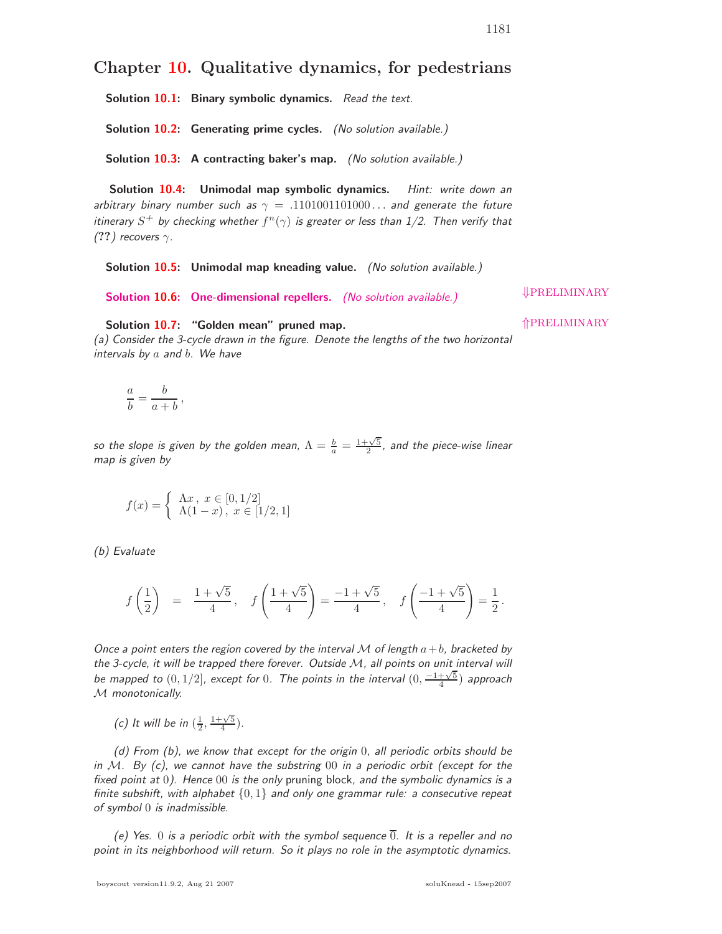## **Chapter 10. Qualitative dynamics, for pedestrians**

**Solution 10.1: Binary symbolic dynamics.** Read the text.

**Solution 10.2: Generating prime cycles.** (No solution available.)

**Solution 10.3: A contracting baker's map.** (No solution available.)

**Solution 10.4: Unimodal map symbolic dynamics.** Hint: write down an arbitrary binary number such as  $\gamma = .1101001101000...$  and generate the future itinerary  $S^+$  by checking whether  $f^n(\gamma)$  is greater or less than 1/2. Then verify that  $(?)$  recovers  $\gamma$ .

**Solution 10.5: Unimodal map kneading value.** (No solution available.)

**Solution 10.6: One-dimensional repellers.** (No solution available.) **Solution 10.6:** One-dimensional repellers. (No solution available.)

**Solution 10.7: "Golden mean" pruned map.** ⇑PRELIMINARY

(a) Consider the 3-cycle drawn in the figure. Denote the lengths of the two horizontal intervals by  $a$  and  $b$ . We have

$$
\frac{a}{b} = \frac{b}{a+b},
$$

so the slope is given by the golden mean,  $\Lambda=\frac{b}{a}=\frac{1+\sqrt{5}}{2}$ , and the piece-wise linear map is given by

$$
f(x) = \begin{cases} \Lambda x, \ x \in [0, 1/2] \\ \Lambda(1-x), \ x \in [1/2, 1] \end{cases}
$$

(b) Evaluate

$$
f\left(\frac{1}{2}\right) = \frac{1+\sqrt{5}}{4}, \quad f\left(\frac{1+\sqrt{5}}{4}\right) = \frac{-1+\sqrt{5}}{4}, \quad f\left(\frac{-1+\sqrt{5}}{4}\right) = \frac{1}{2}.
$$

Once a point enters the region covered by the interval M of length  $a+b$ , bracketed by the 3-cycle, it will be trapped there forever. Outside M, all points on unit interval will be mapped to  $(0, 1/2]$ , except for 0. The points in the interval  $(0, \frac{-1+\sqrt{5}}{4})$  approach M monotonically.

(c) It will be in  $(\frac{1}{2}, \frac{1+\sqrt{5}}{4})$ .

(d) From (b), we know that except for the origin 0, all periodic orbits should be in  $M$ . By (c), we cannot have the substring 00 in a periodic orbit (except for the fixed point at 0). Hence 00 is the only pruning block, and the symbolic dynamics is a finite subshift, with alphabet  $\{0,1\}$  and only one grammar rule: a consecutive repeat of symbol 0 is inadmissible.

(e) Yes. 0 is a periodic orbit with the symbol sequence  $\overline{0}$ . It is a repeller and no point in its neighborhood will return. So it plays no role in the asymptotic dynamics.